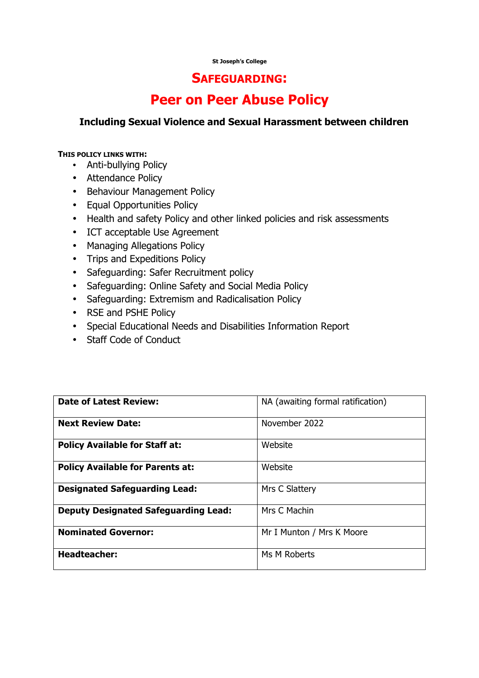#### **St Joseph's College**

## **SAFEGUARDING:**

# **Peer on Peer Abuse Policy**

#### **Including Sexual Violence and Sexual Harassment between children**

#### **THIS POLICY LINKS WITH:**

- Anti-bullying Policy
- Attendance Policy
- Behaviour Management Policy
- Equal Opportunities Policy
- Health and safety Policy and other linked policies and risk assessments
- ICT acceptable Use Agreement
- Managing Allegations Policy
- Trips and Expeditions Policy
- Safeguarding: Safer Recruitment policy
- Safeguarding: Online Safety and Social Media Policy
- Safeguarding: Extremism and Radicalisation Policy
- RSE and PSHE Policy
- Special Educational Needs and Disabilities Information Report
- Staff Code of Conduct

| <b>Date of Latest Review:</b>               | NA (awaiting formal ratification) |
|---------------------------------------------|-----------------------------------|
| <b>Next Review Date:</b>                    | November 2022                     |
| <b>Policy Available for Staff at:</b>       | Website                           |
| <b>Policy Available for Parents at:</b>     | Website                           |
| <b>Designated Safeguarding Lead:</b>        | Mrs C Slattery                    |
| <b>Deputy Designated Safeguarding Lead:</b> | Mrs C Machin                      |
| <b>Nominated Governor:</b>                  | Mr I Munton / Mrs K Moore         |
| <b>Headteacher:</b>                         | Ms M Roberts                      |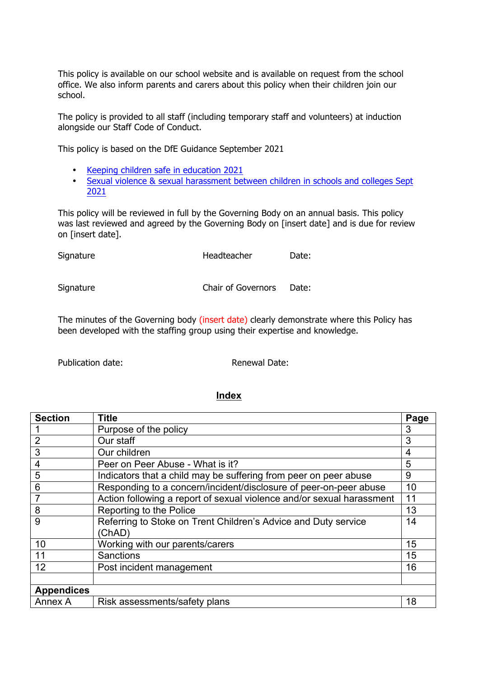This policy is available on our school website and is available on request from the school office. We also inform parents and carers about this policy when their children join our school.

The policy is provided to all staff (including temporary staff and volunteers) at induction alongside our Staff Code of Conduct.

This policy is based on the DfE Guidance September 2021

- Keeping children safe in education 2021
- Sexual violence & sexual harassment between children in schools and colleges Sept 2021

This policy will be reviewed in full by the Governing Body on an annual basis. This policy was last reviewed and agreed by the Governing Body on [insert date] and is due for review on [insert date].

| Signature | Headteacher        | Date: |
|-----------|--------------------|-------|
| Signature | Chair of Governors | Date: |

The minutes of the Governing body (insert date) clearly demonstrate where this Policy has been developed with the staffing group using their expertise and knowledge.

Publication date: Renewal Date:

#### **Index**

| <b>Section</b>    | <b>Title</b>                                                          | Page |
|-------------------|-----------------------------------------------------------------------|------|
|                   | Purpose of the policy                                                 | 3    |
| $\overline{2}$    | Our staff                                                             | 3    |
| 3                 | Our children                                                          | 4    |
| 4                 | Peer on Peer Abuse - What is it?                                      | 5    |
| 5                 | Indicators that a child may be suffering from peer on peer abuse      | 9    |
| 6                 | Responding to a concern/incident/disclosure of peer-on-peer abuse     | 10   |
| 7                 | Action following a report of sexual violence and/or sexual harassment | 11   |
| 8                 | Reporting to the Police                                               | 13   |
| 9                 | Referring to Stoke on Trent Children's Advice and Duty service        | 14   |
|                   | (ChAD)                                                                |      |
| 10                | Working with our parents/carers                                       | 15   |
| 11                | Sanctions                                                             | 15   |
| 12                | Post incident management                                              | 16   |
|                   |                                                                       |      |
| <b>Appendices</b> |                                                                       |      |
| Annex A           | Risk assessments/safety plans                                         | 18   |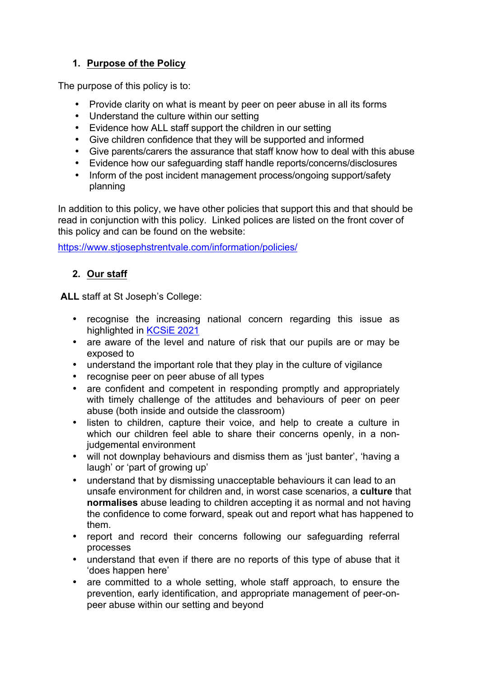# **1. Purpose of the Policy**

The purpose of this policy is to:

- Provide clarity on what is meant by peer on peer abuse in all its forms
- Understand the culture within our setting
- Evidence how ALL staff support the children in our setting
- Give children confidence that they will be supported and informed
- Give parents/carers the assurance that staff know how to deal with this abuse
- Evidence how our safeguarding staff handle reports/concerns/disclosures
- Inform of the post incident management process/ongoing support/safety planning

In addition to this policy, we have other policies that support this and that should be read in conjunction with this policy. Linked polices are listed on the front cover of this policy and can be found on the website:

https://www.stjosephstrentvale.com/information/policies/

# **2. Our staff**

**ALL** staff at St Joseph's College:

- recognise the increasing national concern regarding this issue as highlighted in KCSiE 2021
- are aware of the level and nature of risk that our pupils are or may be exposed to
- understand the important role that they play in the culture of vigilance
- recognise peer on peer abuse of all types
- are confident and competent in responding promptly and appropriately with timely challenge of the attitudes and behaviours of peer on peer abuse (both inside and outside the classroom)
- listen to children, capture their voice, and help to create a culture in which our children feel able to share their concerns openly, in a nonjudgemental environment
- will not downplay behaviours and dismiss them as 'just banter', 'having a laugh' or 'part of growing up'
- understand that by dismissing unacceptable behaviours it can lead to an unsafe environment for children and, in worst case scenarios, a **culture** that **normalises** abuse leading to children accepting it as normal and not having the confidence to come forward, speak out and report what has happened to them.
- report and record their concerns following our safeguarding referral processes
- understand that even if there are no reports of this type of abuse that it 'does happen here'
- are committed to a whole setting, whole staff approach, to ensure the prevention, early identification, and appropriate management of peer-onpeer abuse within our setting and beyond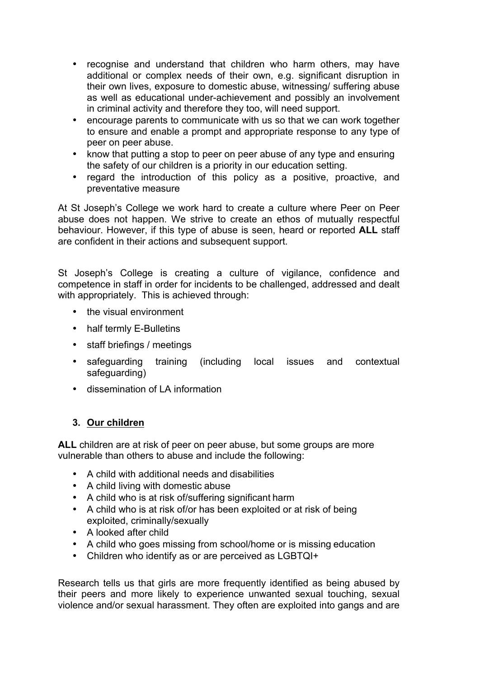- recognise and understand that children who harm others, may have additional or complex needs of their own, e.g. significant disruption in their own lives, exposure to domestic abuse, witnessing/ suffering abuse as well as educational under-achievement and possibly an involvement in criminal activity and therefore they too, will need support.
- encourage parents to communicate with us so that we can work together to ensure and enable a prompt and appropriate response to any type of peer on peer abuse.
- know that putting a stop to peer on peer abuse of any type and ensuring the safety of our children is a priority in our education setting.
- regard the introduction of this policy as a positive, proactive, and preventative measure

At St Joseph's College we work hard to create a culture where Peer on Peer abuse does not happen. We strive to create an ethos of mutually respectful behaviour. However, if this type of abuse is seen, heard or reported **ALL** staff are confident in their actions and subsequent support.

St Joseph's College is creating a culture of vigilance, confidence and competence in staff in order for incidents to be challenged, addressed and dealt with appropriately. This is achieved through:

- the visual environment
- half termly E-Bulletins
- staff briefings / meetings
- safeguarding training (including local issues and contextual safeguarding)
- dissemination of LA information

# **3. Our children**

**ALL** children are at risk of peer on peer abuse, but some groups are more vulnerable than others to abuse and include the following:

- A child with additional needs and disabilities
- A child living with domestic abuse
- A child who is at risk of/suffering significant harm
- A child who is at risk of/or has been exploited or at risk of being exploited, criminally/sexually
- A looked after child
- A child who goes missing from school/home or is missing education
- Children who identify as or are perceived as LGBTQI+

Research tells us that girls are more frequently identified as being abused by their peers and more likely to experience unwanted sexual touching, sexual violence and/or sexual harassment. They often are exploited into gangs and are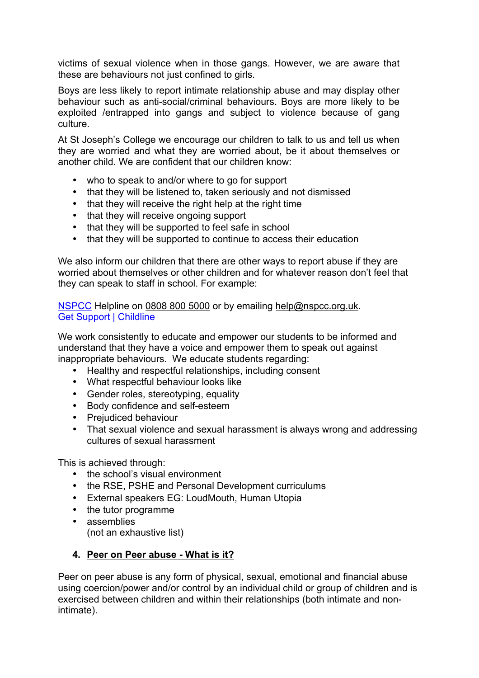victims of sexual violence when in those gangs. However, we are aware that these are behaviours not just confined to girls.

Boys are less likely to report intimate relationship abuse and may display other behaviour such as anti-social/criminal behaviours. Boys are more likely to be exploited /entrapped into gangs and subject to violence because of gang culture.

At St Joseph's College we encourage our children to talk to us and tell us when they are worried and what they are worried about, be it about themselves or another child. We are confident that our children know:

- who to speak to and/or where to go for support
- that they will be listened to, taken seriously and not dismissed
- that they will receive the right help at the right time
- that they will receive ongoing support
- that they will be supported to feel safe in school
- that they will be supported to continue to access their education

We also inform our children that there are other ways to report abuse if they are worried about themselves or other children and for whatever reason don't feel that they can speak to staff in school. For example:

NSPCC Helpline on 0808 800 5000 or by emailing help@nspcc.org.uk. Get Support | Childline

We work consistently to educate and empower our students to be informed and understand that they have a voice and empower them to speak out against inappropriate behaviours. We educate students regarding:

- Healthy and respectful relationships, including consent
- What respectful behaviour looks like
- Gender roles, stereotyping, equality
- Body confidence and self-esteem
- Prejudiced behaviour
- That sexual violence and sexual harassment is always wrong and addressing cultures of sexual harassment

This is achieved through:

- the school's visual environment
- the RSE, PSHE and Personal Development curriculums
- External speakers EG: LoudMouth, Human Utopia
- the tutor programme
- assemblies (not an exhaustive list)

### **4. Peer on Peer abuse - What is it?**

Peer on peer abuse is any form of physical, sexual, emotional and financial abuse using coercion/power and/or control by an individual child or group of children and is exercised between children and within their relationships (both intimate and nonintimate).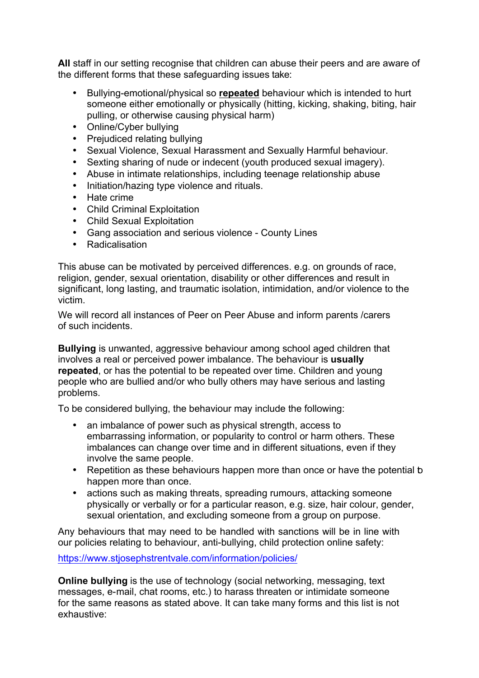**All** staff in our setting recognise that children can abuse their peers and are aware of the different forms that these safeguarding issues take:

- Bullying-emotional/physical so **repeated** behaviour which is intended to hurt someone either emotionally or physically (hitting, kicking, shaking, biting, hair pulling, or otherwise causing physical harm)
- Online/Cyber bullying
- Prejudiced relating bullying
- Sexual Violence, Sexual Harassment and Sexually Harmful behaviour.
- Sexting sharing of nude or indecent (youth produced sexual imagery).
- Abuse in intimate relationships, including teenage relationship abuse
- Initiation/hazing type violence and rituals.
- Hate crime
- Child Criminal Exploitation
- Child Sexual Exploitation
- Gang association and serious violence County Lines
- Radicalisation

This abuse can be motivated by perceived differences. e.g. on grounds of race, religion, gender, sexual orientation, disability or other differences and result in significant, long lasting, and traumatic isolation, intimidation, and/or violence to the victim.

We will record all instances of Peer on Peer Abuse and inform parents /carers of such incidents.

**Bullying** is unwanted, aggressive behaviour among school aged children that involves a real or perceived power imbalance. The behaviour is **usually repeated**, or has the potential to be repeated over time. Children and young people who are bullied and/or who bully others may have serious and lasting problems.

To be considered bullying, the behaviour may include the following:

- an imbalance of power such as physical strength, access to embarrassing information, or popularity to control or harm others. These imbalances can change over time and in different situations, even if they involve the same people.
- Repetition as these behaviours happen more than once or have the potential b happen more than once.
- actions such as making threats, spreading rumours, attacking someone physically or verbally or for a particular reason, e.g. size, hair colour, gender, sexual orientation, and excluding someone from a group on purpose.

Any behaviours that may need to be handled with sanctions will be in line with our policies relating to behaviour, anti-bullying, child protection online safety:

https://www.stjosephstrentvale.com/information/policies/

**Online bullying** is the use of technology (social networking, messaging, text messages, e-mail, chat rooms, etc.) to harass threaten or intimidate someone for the same reasons as stated above. It can take many forms and this list is not exhaustive: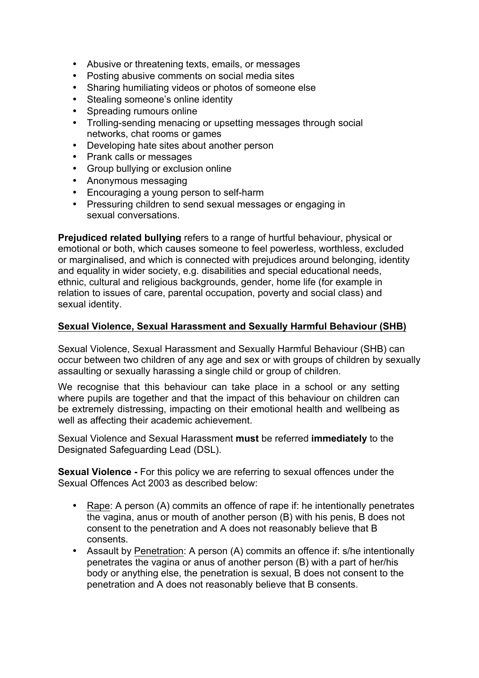- Abusive or threatening texts, emails, or messages
- Posting abusive comments on social media sites
- Sharing humiliating videos or photos of someone else
- Stealing someone's online identity<br>• Spreading rumours online
- Spreading rumours online
- Trolling-sending menacing or upsetting messages through social networks, chat rooms or games
- Developing hate sites about another person
- Prank calls or messages
- Group bullying or exclusion online
- Anonymous messaging<br>• Encouraging a voung pe
- Encouraging a young person to self-harm
- Pressuring children to send sexual messages or engaging in sexual conversations.

**Prejudiced related bullying** refers to a range of hurtful behaviour, physical or emotional or both, which causes someone to feel powerless, worthless, excluded or marginalised, and which is connected with prejudices around belonging, identity and equality in wider society, e.g. disabilities and special educational needs, ethnic, cultural and religious backgrounds, gender, home life (for example in relation to issues of care, parental occupation, poverty and social class) and sexual identity.

#### **Sexual Violence, Sexual Harassment and Sexually Harmful Behaviour (SHB)**

Sexual Violence, Sexual Harassment and Sexually Harmful Behaviour (SHB) can occur between two children of any age and sex or with groups of children by sexually assaulting or sexually harassing a single child or group of children.

We recognise that this behaviour can take place in a school or any setting where pupils are together and that the impact of this behaviour on children can be extremely distressing, impacting on their emotional health and wellbeing as well as affecting their academic achievement.

Sexual Violence and Sexual Harassment **must** be referred **immediately** to the Designated Safeguarding Lead (DSL).

**Sexual Violence -** For this policy we are referring to sexual offences under the Sexual Offences Act 2003 as described below:

- Rape: A person (A) commits an offence of rape if: he intentionally penetrates the vagina, anus or mouth of another person (B) with his penis, B does not consent to the penetration and A does not reasonably believe that B consents.
- Assault by Penetration: A person (A) commits an offence if: s/he intentionally penetrates the vagina or anus of another person (B) with a part of her/his body or anything else, the penetration is sexual, B does not consent to the penetration and A does not reasonably believe that B consents.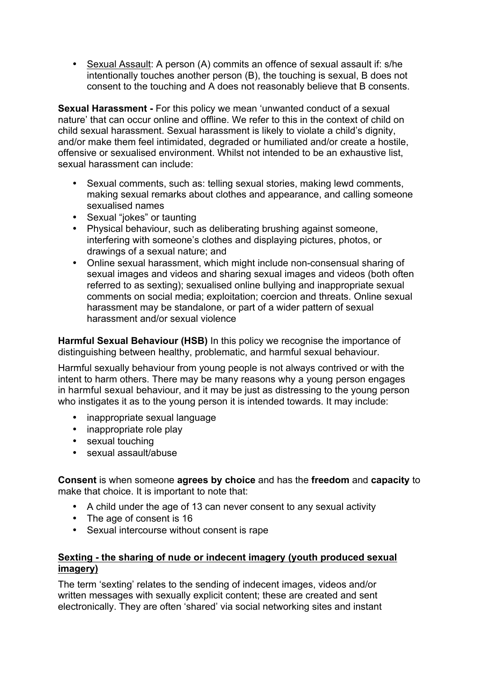• Sexual Assault: A person (A) commits an offence of sexual assault if: s/he intentionally touches another person (B), the touching is sexual, B does not consent to the touching and A does not reasonably believe that B consents.

**Sexual Harassment -** For this policy we mean 'unwanted conduct of a sexual nature' that can occur online and offline. We refer to this in the context of child on child sexual harassment. Sexual harassment is likely to violate a child's dignity, and/or make them feel intimidated, degraded or humiliated and/or create a hostile, offensive or sexualised environment. Whilst not intended to be an exhaustive list, sexual harassment can include:

- Sexual comments, such as: telling sexual stories, making lewd comments, making sexual remarks about clothes and appearance, and calling someone sexualised names
- Sexual "jokes" or taunting
- Physical behaviour, such as deliberating brushing against someone, interfering with someone's clothes and displaying pictures, photos, or drawings of a sexual nature; and
- Online sexual harassment, which might include non-consensual sharing of sexual images and videos and sharing sexual images and videos (both often referred to as sexting); sexualised online bullying and inappropriate sexual comments on social media; exploitation; coercion and threats. Online sexual harassment may be standalone, or part of a wider pattern of sexual harassment and/or sexual violence

**Harmful Sexual Behaviour (HSB)** In this policy we recognise the importance of distinguishing between healthy, problematic, and harmful sexual behaviour.

Harmful sexually behaviour from young people is not always contrived or with the intent to harm others. There may be many reasons why a young person engages in harmful sexual behaviour, and it may be just as distressing to the young person who instigates it as to the young person it is intended towards. It may include:

- inappropriate sexual language
- inappropriate role play
- sexual touching
- sexual assault/abuse

**Consent** is when someone **agrees by choice** and has the **freedom** and **capacity** to make that choice. It is important to note that:

- A child under the age of 13 can never consent to any sexual activity
- The age of consent is 16
- Sexual intercourse without consent is rape

#### **Sexting - the sharing of nude or indecent imagery (youth produced sexual imagery)**

The term 'sexting' relates to the sending of indecent images, videos and/or written messages with sexually explicit content; these are created and sent electronically. They are often 'shared' via social networking sites and instant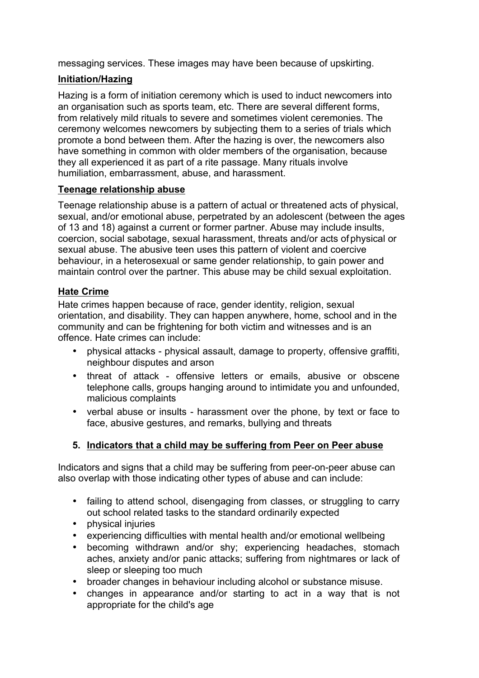messaging services. These images may have been because of upskirting.

## **Initiation/Hazing**

Hazing is a form of initiation ceremony which is used to induct newcomers into an organisation such as sports team, etc. There are several different forms, from relatively mild rituals to severe and sometimes violent ceremonies. The ceremony welcomes newcomers by subjecting them to a series of trials which promote a bond between them. After the hazing is over, the newcomers also have something in common with older members of the organisation, because they all experienced it as part of a rite passage. Many rituals involve humiliation, embarrassment, abuse, and harassment.

### **Teenage relationship abuse**

Teenage relationship abuse is a pattern of actual or threatened acts of physical, sexual, and/or emotional abuse, perpetrated by an adolescent (between the ages of 13 and 18) against a current or former partner. Abuse may include insults, coercion, social sabotage, sexual harassment, threats and/or acts of physical or sexual abuse. The abusive teen uses this pattern of violent and coercive behaviour, in a heterosexual or same gender relationship, to gain power and maintain control over the partner. This abuse may be child sexual exploitation.

### **Hate Crime**

Hate crimes happen because of race, gender identity, religion, sexual orientation, and disability. They can happen anywhere, home, school and in the community and can be frightening for both victim and witnesses and is an offence. Hate crimes can include:

- physical attacks physical assault, damage to property, offensive graffiti, neighbour disputes and arson
- threat of attack offensive letters or emails, abusive or obscene telephone calls, groups hanging around to intimidate you and unfounded, malicious complaints
- verbal abuse or insults harassment over the phone, by text or face to face, abusive gestures, and remarks, bullying and threats

### **5. Indicators that a child may be suffering from Peer on Peer abuse**

Indicators and signs that a child may be suffering from peer-on-peer abuse can also overlap with those indicating other types of abuse and can include:

- failing to attend school, disengaging from classes, or struggling to carry out school related tasks to the standard ordinarily expected
- physical injuries
- experiencing difficulties with mental health and/or emotional wellbeing
- becoming withdrawn and/or shy; experiencing headaches, stomach aches, anxiety and/or panic attacks; suffering from nightmares or lack of sleep or sleeping too much
- broader changes in behaviour including alcohol or substance misuse.<br>• changes in annearance and/or starting to act in a way that is
- changes in appearance and/or starting to act in a way that is not appropriate for the child's age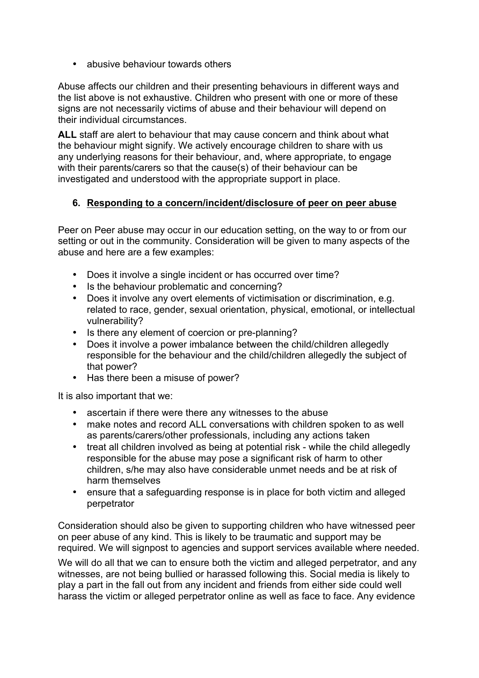• abusive behaviour towards others

Abuse affects our children and their presenting behaviours in different ways and the list above is not exhaustive. Children who present with one or more of these signs are not necessarily victims of abuse and their behaviour will depend on their individual circumstances.

**ALL** staff are alert to behaviour that may cause concern and think about what the behaviour might signify. We actively encourage children to share with us any underlying reasons for their behaviour, and, where appropriate, to engage with their parents/carers so that the cause(s) of their behaviour can be investigated and understood with the appropriate support in place.

### **6. Responding to a concern/incident/disclosure of peer on peer abuse**

Peer on Peer abuse may occur in our education setting, on the way to or from our setting or out in the community. Consideration will be given to many aspects of the abuse and here are a few examples:

- Does it involve a single incident or has occurred over time?
- Is the behaviour problematic and concerning?
- Does it involve any overt elements of victimisation or discrimination, e.g. related to race, gender, sexual orientation, physical, emotional, or intellectual vulnerability?
- Is there any element of coercion or pre-planning?
- Does it involve a power imbalance between the child/children allegedly responsible for the behaviour and the child/children allegedly the subject of that power?
- Has there been a misuse of power?

It is also important that we:

- ascertain if there were there any witnesses to the abuse
- make notes and record ALL conversations with children spoken to as well as parents/carers/other professionals, including any actions taken
- treat all children involved as being at potential risk while the child allegedly responsible for the abuse may pose a significant risk of harm to other children, s/he may also have considerable unmet needs and be at risk of harm themselves
- ensure that a safeguarding response is in place for both victim and alleged perpetrator

Consideration should also be given to supporting children who have witnessed peer on peer abuse of any kind. This is likely to be traumatic and support may be required. We will signpost to agencies and support services available where needed.

We will do all that we can to ensure both the victim and alleged perpetrator, and any witnesses, are not being bullied or harassed following this. Social media is likely to play a part in the fall out from any incident and friends from either side could well harass the victim or alleged perpetrator online as well as face to face. Any evidence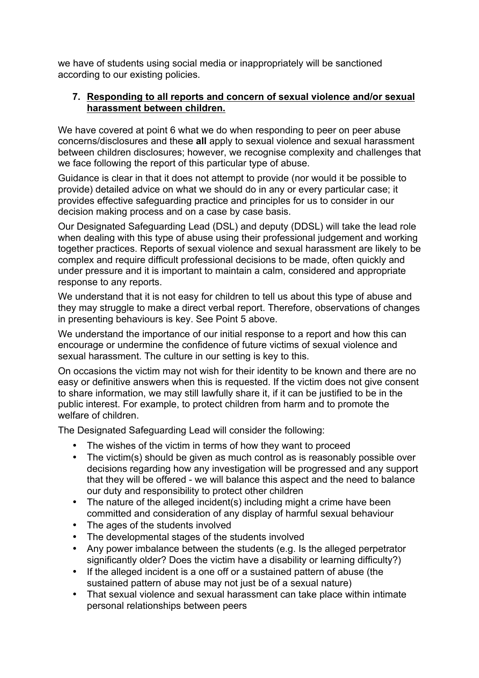we have of students using social media or inappropriately will be sanctioned according to our existing policies.

### **7. Responding to all reports and concern of sexual violence and/or sexual harassment between children.**

We have covered at point 6 what we do when responding to peer on peer abuse concerns/disclosures and these **all** apply to sexual violence and sexual harassment between children disclosures; however, we recognise complexity and challenges that we face following the report of this particular type of abuse.

Guidance is clear in that it does not attempt to provide (nor would it be possible to provide) detailed advice on what we should do in any or every particular case; it provides effective safeguarding practice and principles for us to consider in our decision making process and on a case by case basis.

Our Designated Safeguarding Lead (DSL) and deputy (DDSL) will take the lead role when dealing with this type of abuse using their professional judgement and working together practices. Reports of sexual violence and sexual harassment are likely to be complex and require difficult professional decisions to be made, often quickly and under pressure and it is important to maintain a calm, considered and appropriate response to any reports.

We understand that it is not easy for children to tell us about this type of abuse and they may struggle to make a direct verbal report. Therefore, observations of changes in presenting behaviours is key. See Point 5 above.

We understand the importance of our initial response to a report and how this can encourage or undermine the confidence of future victims of sexual violence and sexual harassment. The culture in our setting is key to this.

On occasions the victim may not wish for their identity to be known and there are no easy or definitive answers when this is requested. If the victim does not give consent to share information, we may still lawfully share it, if it can be justified to be in the public interest. For example, to protect children from harm and to promote the welfare of children.

The Designated Safeguarding Lead will consider the following:

- The wishes of the victim in terms of how they want to proceed
- The victim(s) should be given as much control as is reasonably possible over decisions regarding how any investigation will be progressed and any support that they will be offered - we will balance this aspect and the need to balance our duty and responsibility to protect other children
- The nature of the alleged incident(s) including might a crime have been committed and consideration of any display of harmful sexual behaviour
- The ages of the students involved
- The developmental stages of the students involved
- Any power imbalance between the students (e.g. Is the alleged perpetrator significantly older? Does the victim have a disability or learning difficulty?)
- If the alleged incident is a one off or a sustained pattern of abuse (the sustained pattern of abuse may not just be of a sexual nature)
- That sexual violence and sexual harassment can take place within intimate personal relationships between peers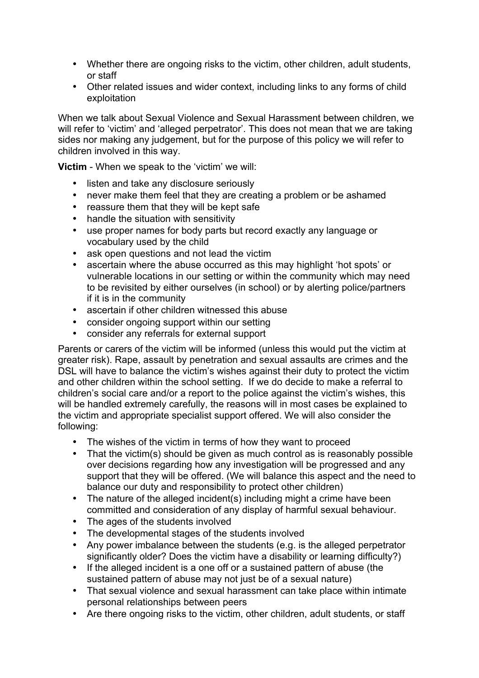- Whether there are ongoing risks to the victim, other children, adult students, or staff
- Other related issues and wider context, including links to any forms of child exploitation

When we talk about Sexual Violence and Sexual Harassment between children, we will refer to 'victim' and 'alleged perpetrator'. This does not mean that we are taking sides nor making any judgement, but for the purpose of this policy we will refer to children involved in this way.

**Victim** - When we speak to the 'victim' we will:

- 
- listen and take any disclosure seriously<br>• never make them feel that they are crea • never make them feel that they are creating a problem or be ashamed
- reassure them that they will be kept safe
- handle the situation with sensitivity
- use proper names for body parts but record exactly any language or vocabulary used by the child
- ask open questions and not lead the victim
- ascertain where the abuse occurred as this may highlight 'hot spots' or vulnerable locations in our setting or within the community which may need to be revisited by either ourselves (in school) or by alerting police/partners if it is in the community
- ascertain if other children witnessed this abuse
- consider ongoing support within our setting
- consider any referrals for external support

Parents or carers of the victim will be informed (unless this would put the victim at greater risk). Rape, assault by penetration and sexual assaults are crimes and the DSL will have to balance the victim's wishes against their duty to protect the victim and other children within the school setting. If we do decide to make a referral to children's social care and/or a report to the police against the victim's wishes, this will be handled extremely carefully, the reasons will in most cases be explained to the victim and appropriate specialist support offered. We will also consider the following:

- The wishes of the victim in terms of how they want to proceed
- That the victim(s) should be given as much control as is reasonably possible over decisions regarding how any investigation will be progressed and any support that they will be offered. (We will balance this aspect and the need to balance our duty and responsibility to protect other children)
- The nature of the alleged incident(s) including might a crime have been committed and consideration of any display of harmful sexual behaviour.
- The ages of the students involved
- The developmental stages of the students involved
- Any power imbalance between the students (e.g. is the alleged perpetrator significantly older? Does the victim have a disability or learning difficulty?)
- If the alleged incident is a one off or a sustained pattern of abuse (the sustained pattern of abuse may not just be of a sexual nature)
- That sexual violence and sexual harassment can take place within intimate personal relationships between peers
- Are there ongoing risks to the victim, other children, adult students, or staff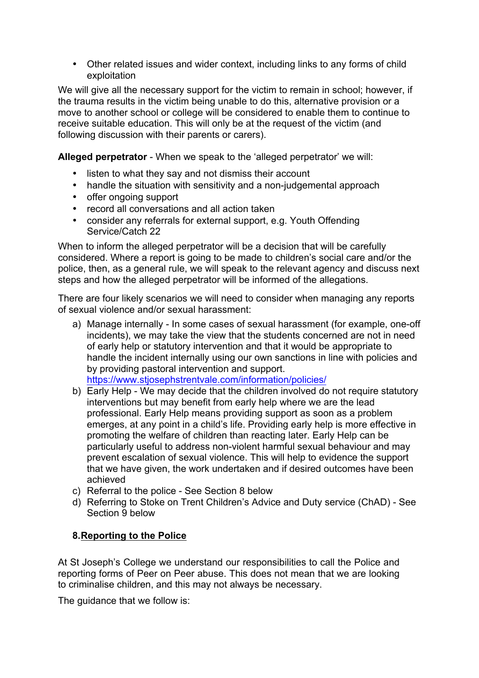• Other related issues and wider context, including links to any forms of child exploitation

We will give all the necessary support for the victim to remain in school; however, if the trauma results in the victim being unable to do this, alternative provision or a move to another school or college will be considered to enable them to continue to receive suitable education. This will only be at the request of the victim (and following discussion with their parents or carers).

**Alleged perpetrator** - When we speak to the 'alleged perpetrator' we will:

- listen to what they say and not dismiss their account
- handle the situation with sensitivity and a non-judgemental approach
- offer ongoing support
- record all conversations and all action taken
- consider any referrals for external support, e.g. Youth Offending Service/Catch 22

When to inform the alleged perpetrator will be a decision that will be carefully considered. Where a report is going to be made to children's social care and/or the police, then, as a general rule, we will speak to the relevant agency and discuss next steps and how the alleged perpetrator will be informed of the allegations.

There are four likely scenarios we will need to consider when managing any reports of sexual violence and/or sexual harassment:

- a) Manage internally In some cases of sexual harassment (for example, one-off incidents), we may take the view that the students concerned are not in need of early help or statutory intervention and that it would be appropriate to handle the incident internally using our own sanctions in line with policies and by providing pastoral intervention and support. https://www.stjosephstrentvale.com/information/policies/
- b) Early Help We may decide that the children involved do not require statutory interventions but may benefit from early help where we are the lead professional. Early Help means providing support as soon as a problem emerges, at any point in a child's life. Providing early help is more effective in promoting the welfare of children than reacting later. Early Help can be particularly useful to address non-violent harmful sexual behaviour and may prevent escalation of sexual violence. This will help to evidence the support that we have given, the work undertaken and if desired outcomes have been achieved
- c) Referral to the police See Section 8 below
- d) Referring to Stoke on Trent Children's Advice and Duty service (ChAD) See Section 9 below

### **8.Reporting to the Police**

At St Joseph's College we understand our responsibilities to call the Police and reporting forms of Peer on Peer abuse. This does not mean that we are looking to criminalise children, and this may not always be necessary.

The quidance that we follow is: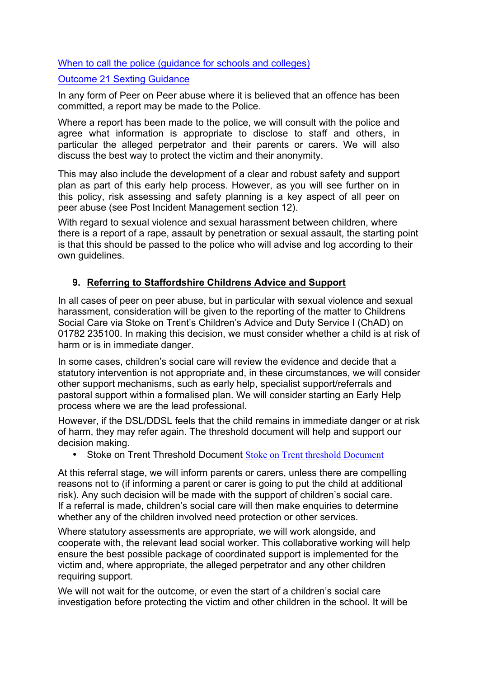When to call the police (guidance for schools and colleges)

#### Outcome 21 Sexting Guidance

In any form of Peer on Peer abuse where it is believed that an offence has been committed, a report may be made to the Police.

Where a report has been made to the police, we will consult with the police and agree what information is appropriate to disclose to staff and others, in particular the alleged perpetrator and their parents or carers. We will also discuss the best way to protect the victim and their anonymity.

This may also include the development of a clear and robust safety and support plan as part of this early help process. However, as you will see further on in this policy, risk assessing and safety planning is a key aspect of all peer on peer abuse (see Post Incident Management section 12).

With regard to sexual violence and sexual harassment between children, where there is a report of a rape, assault by penetration or sexual assault, the starting point is that this should be passed to the police who will advise and log according to their own guidelines.

### **9. Referring to Staffordshire Childrens Advice and Support**

In all cases of peer on peer abuse, but in particular with sexual violence and sexual harassment, consideration will be given to the reporting of the matter to Childrens Social Care via Stoke on Trent's Children's Advice and Duty Service I (ChAD) on 01782 235100. In making this decision, we must consider whether a child is at risk of harm or is in immediate danger.

In some cases, children's social care will review the evidence and decide that a statutory intervention is not appropriate and, in these circumstances, we will consider other support mechanisms, such as early help, specialist support/referrals and pastoral support within a formalised plan. We will consider starting an Early Help process where we are the lead professional.

However, if the DSL/DDSL feels that the child remains in immediate danger or at risk of harm, they may refer again. The threshold document will help and support our decision making.

• Stoke on Trent Threshold Document Stoke on Trent threshold Document

At this referral stage, we will inform parents or carers, unless there are compelling reasons not to (if informing a parent or carer is going to put the child at additional risk). Any such decision will be made with the support of children's social care. If a referral is made, children's social care will then make enquiries to determine whether any of the children involved need protection or other services.

Where statutory assessments are appropriate, we will work alongside, and cooperate with, the relevant lead social worker. This collaborative working will help ensure the best possible package of coordinated support is implemented for the victim and, where appropriate, the alleged perpetrator and any other children requiring support.

We will not wait for the outcome, or even the start of a children's social care investigation before protecting the victim and other children in the school. It will be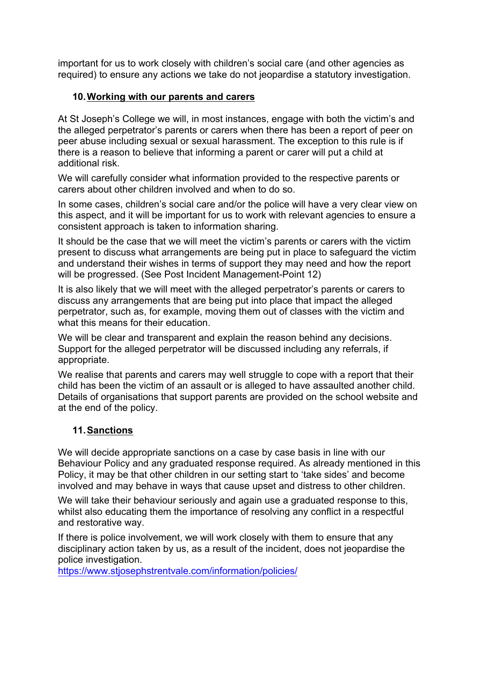important for us to work closely with children's social care (and other agencies as required) to ensure any actions we take do not jeopardise a statutory investigation.

### **10.Working with our parents and carers**

At St Joseph's College we will, in most instances, engage with both the victim's and the alleged perpetrator's parents or carers when there has been a report of peer on peer abuse including sexual or sexual harassment. The exception to this rule is if there is a reason to believe that informing a parent or carer will put a child at additional risk.

We will carefully consider what information provided to the respective parents or carers about other children involved and when to do so.

In some cases, children's social care and/or the police will have a very clear view on this aspect, and it will be important for us to work with relevant agencies to ensure a consistent approach is taken to information sharing.

It should be the case that we will meet the victim's parents or carers with the victim present to discuss what arrangements are being put in place to safeguard the victim and understand their wishes in terms of support they may need and how the report will be progressed. (See Post Incident Management-Point 12)

It is also likely that we will meet with the alleged perpetrator's parents or carers to discuss any arrangements that are being put into place that impact the alleged perpetrator, such as, for example, moving them out of classes with the victim and what this means for their education

We will be clear and transparent and explain the reason behind any decisions. Support for the alleged perpetrator will be discussed including any referrals, if appropriate.

We realise that parents and carers may well struggle to cope with a report that their child has been the victim of an assault or is alleged to have assaulted another child. Details of organisations that support parents are provided on the school website and at the end of the policy.

### **11.Sanctions**

We will decide appropriate sanctions on a case by case basis in line with our Behaviour Policy and any graduated response required. As already mentioned in this Policy, it may be that other children in our setting start to 'take sides' and become involved and may behave in ways that cause upset and distress to other children.

We will take their behaviour seriously and again use a graduated response to this, whilst also educating them the importance of resolving any conflict in a respectful and restorative way.

If there is police involvement, we will work closely with them to ensure that any disciplinary action taken by us, as a result of the incident, does not jeopardise the police investigation.

https://www.stjosephstrentvale.com/information/policies/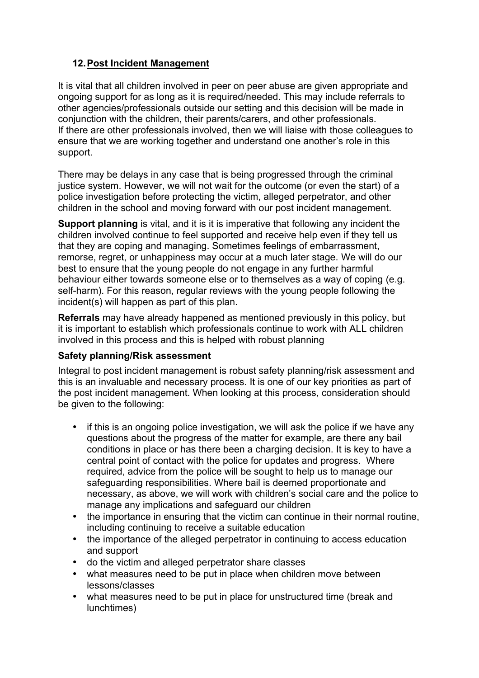## **12.Post Incident Management**

It is vital that all children involved in peer on peer abuse are given appropriate and ongoing support for as long as it is required/needed. This may include referrals to other agencies/professionals outside our setting and this decision will be made in conjunction with the children, their parents/carers, and other professionals. If there are other professionals involved, then we will liaise with those colleagues to ensure that we are working together and understand one another's role in this support.

There may be delays in any case that is being progressed through the criminal justice system. However, we will not wait for the outcome (or even the start) of a police investigation before protecting the victim, alleged perpetrator, and other children in the school and moving forward with our post incident management.

**Support planning** is vital, and it is it is imperative that following any incident the children involved continue to feel supported and receive help even if they tell us that they are coping and managing. Sometimes feelings of embarrassment, remorse, regret, or unhappiness may occur at a much later stage. We will do our best to ensure that the young people do not engage in any further harmful behaviour either towards someone else or to themselves as a way of coping (e.g. self-harm). For this reason, regular reviews with the young people following the incident(s) will happen as part of this plan.

**Referrals** may have already happened as mentioned previously in this policy, but it is important to establish which professionals continue to work with ALL children involved in this process and this is helped with robust planning

### **Safety planning/Risk assessment**

Integral to post incident management is robust safety planning/risk assessment and this is an invaluable and necessary process. It is one of our key priorities as part of the post incident management. When looking at this process, consideration should be given to the following:

- if this is an ongoing police investigation, we will ask the police if we have any questions about the progress of the matter for example, are there any bail conditions in place or has there been a charging decision. It is key to have a central point of contact with the police for updates and progress. Where required, advice from the police will be sought to help us to manage our safeguarding responsibilities. Where bail is deemed proportionate and necessary, as above, we will work with children's social care and the police to manage any implications and safeguard our children
- the importance in ensuring that the victim can continue in their normal routine, including continuing to receive a suitable education
- the importance of the alleged perpetrator in continuing to access education and support
- do the victim and alleged perpetrator share classes
- what measures need to be put in place when children move between lessons/classes
- what measures need to be put in place for unstructured time (break and lunchtimes)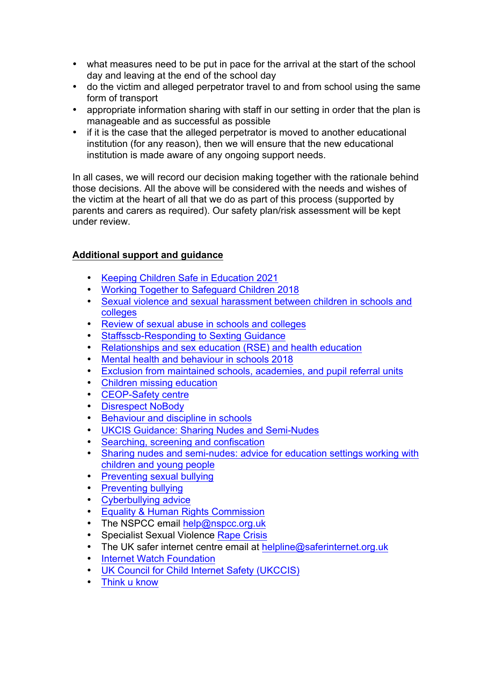- what measures need to be put in pace for the arrival at the start of the school day and leaving at the end of the school day
- do the victim and alleged perpetrator travel to and from school using the same form of transport
- appropriate information sharing with staff in our setting in order that the plan is manageable and as successful as possible
- if it is the case that the alleged perpetrator is moved to another educational institution (for any reason), then we will ensure that the new educational institution is made aware of any ongoing support needs.

In all cases, we will record our decision making together with the rationale behind those decisions. All the above will be considered with the needs and wishes of the victim at the heart of all that we do as part of this process (supported by parents and carers as required). Our safety plan/risk assessment will be kept under review.

### **Additional support and guidance**

- Keeping Children Safe in Education 2021
- Working Together to Safeguard Children 2018
- Sexual violence and sexual harassment between children in schools and colleges
- Review of sexual abuse in schools and colleges
- Staffsscb-Responding to Sexting Guidance
- Relationships and sex education (RSE) and health education
- Mental health and behaviour in schools 2018
- Exclusion from maintained schools, academies, and pupil referral units
- Children missing education
- CEOP-Safety centre
- Disrespect NoBody
- Behaviour and discipline in schools
- UKCIS Guidance: Sharing Nudes and Semi-Nudes
- Searching, screening and confiscation
- Sharing nudes and semi-nudes: advice for education settings working with children and young people
- Preventing sexual bullying
- Preventing bullying
- Cyberbullying advice
- Equality & Human Rights Commission
- The NSPCC email help@nspcc.org.uk
- Specialist Sexual Violence Rape Crisis
- The UK safer internet centre email at helpline@saferinternet.org.uk
- **Internet Watch Foundation**
- UK Council for Child Internet Safety (UKCCIS)
- Think u know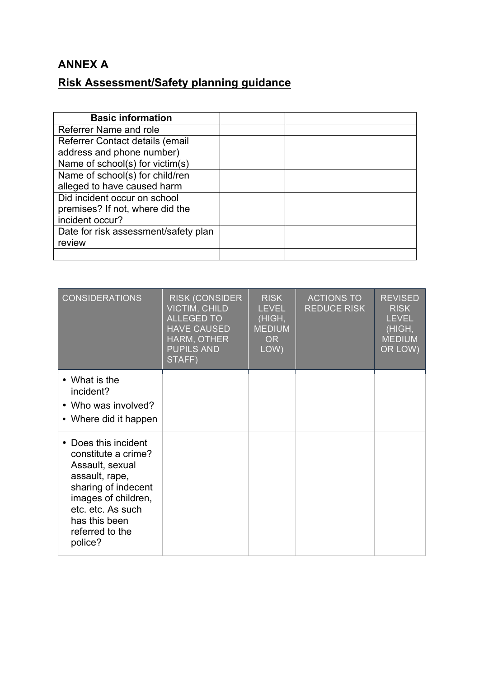# **ANNEX A**

# **Risk Assessment/Safety planning guidance**

| <b>Basic information</b>             |  |
|--------------------------------------|--|
| Referrer Name and role               |  |
| Referrer Contact details (email      |  |
| address and phone number)            |  |
| Name of school(s) for victim(s)      |  |
| Name of school(s) for child/ren      |  |
| alleged to have caused harm          |  |
| Did incident occur on school         |  |
| premises? If not, where did the      |  |
| incident occur?                      |  |
| Date for risk assessment/safety plan |  |
| review                               |  |
|                                      |  |

| <b>CONSIDERATIONS</b>                                                                                                                                                                              | <b>RISK (CONSIDER</b><br><b>VICTIM, CHILD</b><br><b>ALLEGED TO</b><br><b>HAVE CAUSED</b><br>HARM, OTHER<br><b>PUPILS AND</b><br>STAFF) | <b>RISK</b><br><b>LEVEL</b><br>(HIGH,<br><b>MEDIUM</b><br><b>OR</b><br>LOW) | <b>ACTIONS TO</b><br><b>REDUCE RISK</b> | <b>REVISED</b><br><b>RISK</b><br><b>LEVEL</b><br>(HIGH,<br><b>MEDIUM</b><br>OR LOW) |
|----------------------------------------------------------------------------------------------------------------------------------------------------------------------------------------------------|----------------------------------------------------------------------------------------------------------------------------------------|-----------------------------------------------------------------------------|-----------------------------------------|-------------------------------------------------------------------------------------|
| • What is the<br>incident?<br>• Who was involved?<br>• Where did it happen                                                                                                                         |                                                                                                                                        |                                                                             |                                         |                                                                                     |
| • Does this incident<br>constitute a crime?<br>Assault, sexual<br>assault, rape,<br>sharing of indecent<br>images of children,<br>etc. etc. As such<br>has this been<br>referred to the<br>police? |                                                                                                                                        |                                                                             |                                         |                                                                                     |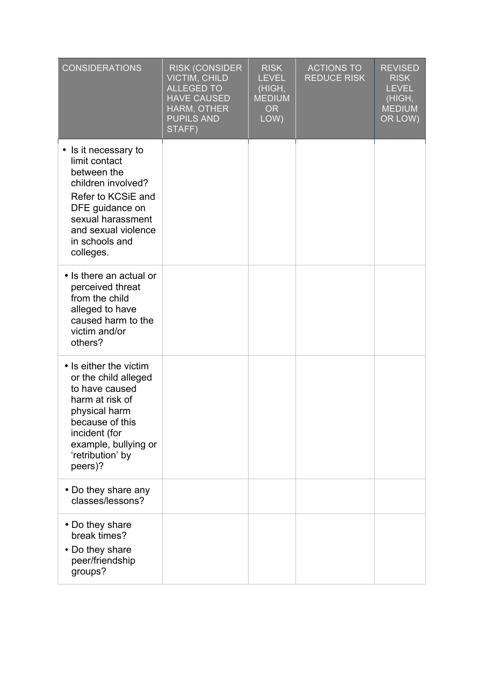| <b>CONSIDERATIONS</b>                                                                                                                                                                           | <b>RISK (CONSIDER)</b><br><b>VICTIM, CHILD</b><br><b>ALLEGED TO</b><br><b>HAVE CAUSED</b><br>HARM, OTHER<br><b>PUPILS AND</b><br>STAFF) | <b>RISK</b><br><b>LEVEL</b><br>(HIGH,<br><b>MEDIUM</b><br><b>OR</b><br>LOW) | <b>ACTIONS TO</b><br><b>REDUCE RISK</b> | <b>REVISED</b><br><b>RISK</b><br><b>LEVEL</b><br>(HIGH,<br><b>MEDIUM</b><br>OR LOW) |
|-------------------------------------------------------------------------------------------------------------------------------------------------------------------------------------------------|-----------------------------------------------------------------------------------------------------------------------------------------|-----------------------------------------------------------------------------|-----------------------------------------|-------------------------------------------------------------------------------------|
| • Is it necessary to<br>limit contact<br>between the<br>children involved?<br>Refer to KCSiE and<br>DFE guidance on<br>sexual harassment<br>and sexual violence<br>in schools and<br>colleges.  |                                                                                                                                         |                                                                             |                                         |                                                                                     |
| • Is there an actual or<br>perceived threat<br>from the child<br>alleged to have<br>caused harm to the<br>victim and/or<br>others?                                                              |                                                                                                                                         |                                                                             |                                         |                                                                                     |
| • Is either the victim<br>or the child alleged<br>to have caused<br>harm at risk of<br>physical harm<br>because of this<br>incident (for<br>example, bullying or<br>'retribution' by<br>peers)? |                                                                                                                                         |                                                                             |                                         |                                                                                     |
| • Do they share any<br>classes/lessons?                                                                                                                                                         |                                                                                                                                         |                                                                             |                                         |                                                                                     |
| • Do they share<br>break times?<br>• Do they share<br>peer/friendship<br>groups?                                                                                                                |                                                                                                                                         |                                                                             |                                         |                                                                                     |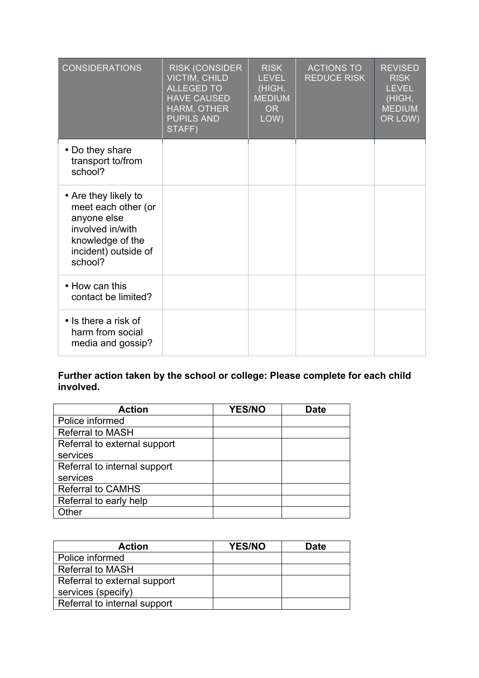| <b>CONSIDERATIONS</b>                                                                                                                 | <b>RISK (CONSIDER</b><br>VICTIM, CHILD<br><b>ALLEGED TO</b><br><b>HAVE CAUSED</b><br>HARM, OTHER<br><b>PUPILS AND</b><br>STAFF) | <b>RISK</b><br><b>LEVEL</b><br>(HIGH,<br><b>MEDIUM</b><br><b>OR</b><br>LOW) | <b>ACTIONS TO</b><br><b>REDUCE RISK</b> | <b>REVISED</b><br><b>RISK</b><br><b>LEVEL</b><br>(HIGH,<br><b>MEDIUM</b><br>OR LOW) |
|---------------------------------------------------------------------------------------------------------------------------------------|---------------------------------------------------------------------------------------------------------------------------------|-----------------------------------------------------------------------------|-----------------------------------------|-------------------------------------------------------------------------------------|
| • Do they share<br>transport to/from<br>school?                                                                                       |                                                                                                                                 |                                                                             |                                         |                                                                                     |
| • Are they likely to<br>meet each other (or<br>anyone else<br>involved in/with<br>knowledge of the<br>incident) outside of<br>school? |                                                                                                                                 |                                                                             |                                         |                                                                                     |
| • How can this<br>contact be limited?                                                                                                 |                                                                                                                                 |                                                                             |                                         |                                                                                     |
| • Is there a risk of<br>harm from social<br>media and gossip?                                                                         |                                                                                                                                 |                                                                             |                                         |                                                                                     |

#### **Further action taken by the school or college: Please complete for each child involved.**

| <b>Action</b>                | <b>YES/NO</b> | <b>Date</b> |
|------------------------------|---------------|-------------|
| Police informed              |               |             |
| <b>Referral to MASH</b>      |               |             |
| Referral to external support |               |             |
| services                     |               |             |
| Referral to internal support |               |             |
| services                     |               |             |
| <b>Referral to CAMHS</b>     |               |             |
| Referral to early help       |               |             |
| Other                        |               |             |

| <b>Action</b>                | <b>YES/NO</b> | <b>Date</b> |
|------------------------------|---------------|-------------|
| Police informed              |               |             |
| <b>Referral to MASH</b>      |               |             |
| Referral to external support |               |             |
| services (specify)           |               |             |
| Referral to internal support |               |             |